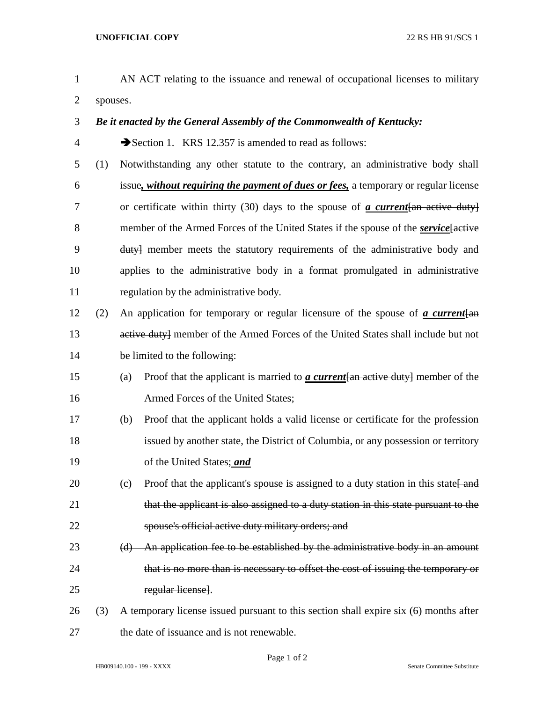- AN ACT relating to the issuance and renewal of occupational licenses to military spouses.
- *Be it enacted by the General Assembly of the Commonwealth of Kentucky:*
- 4 Section 1. KRS 12.357 is amended to read as follows:
- (1) Notwithstanding any other statute to the contrary, an administrative body shall issue*, without requiring the payment of dues or fees,* a temporary or regular license or certificate within thirty (30) days to the spouse of *a current*[an active duty] 8 member of the Armed Forces of the United States if the spouse of the *service* factive duty] member meets the statutory requirements of the administrative body and applies to the administrative body in a format promulgated in administrative regulation by the administrative body.
- (2) An application for temporary or regular licensure of the spouse of *a current*[an 13 active duty] member of the Armed Forces of the United States shall include but not be limited to the following:
- (a) Proof that the applicant is married to *a current*[an active duty] member of the Armed Forces of the United States;
- (b) Proof that the applicant holds a valid license or certificate for the profession issued by another state, the District of Columbia, or any possession or territory of the United States; *and*
- 20 (c) Proof that the applicant's spouse is assigned to a duty station in this state  $\frac{1}{\text{and}}$ 21 that the applicant is also assigned to a duty station in this state pursuant to the spouse's official active duty military orders; and
- (d) An application fee to be established by the administrative body in an amount that is no more than is necessary to offset the cost of issuing the temporary or regular license].
- (3) A temporary license issued pursuant to this section shall expire six (6) months after the date of issuance and is not renewable.